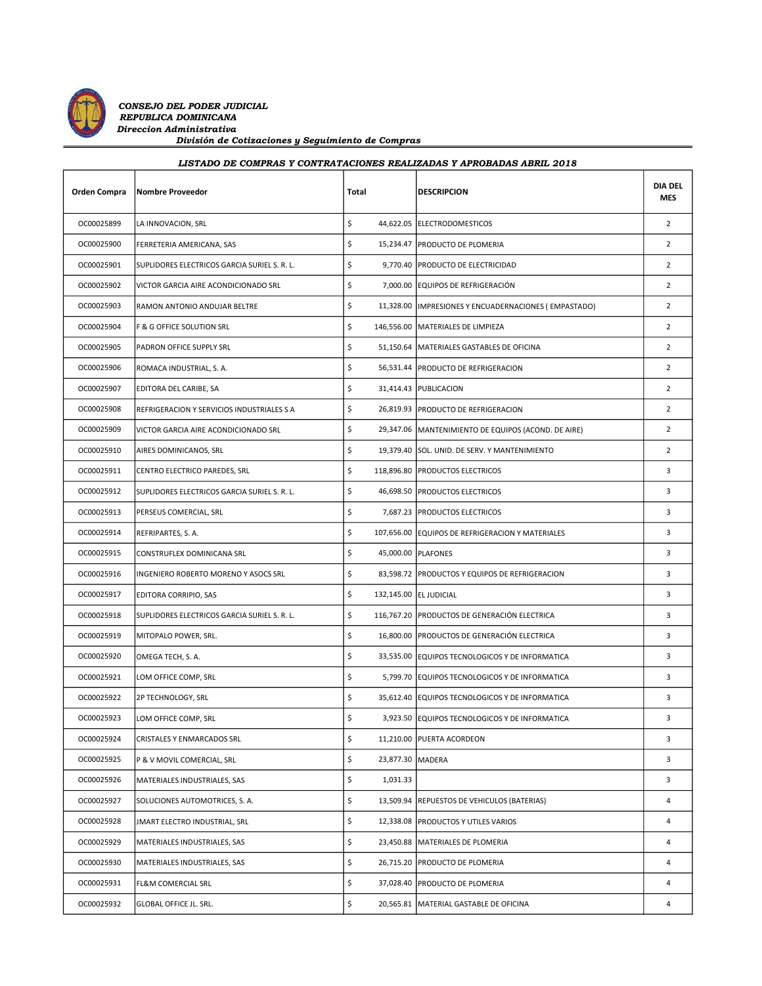

| Orden Compra | <b>Nombre Proveedor</b>                      | Total                  | <b>DESCRIPCION</b>                                     | <b>DIA DEL</b><br><b>MES</b> |
|--------------|----------------------------------------------|------------------------|--------------------------------------------------------|------------------------------|
| OC00025899   | LA INNOVACION, SRL                           | \$                     | 44,622.05 ELECTRODOMESTICOS                            | $\overline{2}$               |
| OC00025900   | FERRETERIA AMERICANA, SAS                    | \$                     | 15,234.47   PRODUCTO DE PLOMERIA                       | $\overline{2}$               |
| OC00025901   | SUPLIDORES ELECTRICOS GARCIA SURIEL S. R. L. | \$                     | 9,770.40   PRODUCTO DE ELECTRICIDAD                    | $\overline{2}$               |
| OC00025902   | VICTOR GARCIA AIRE ACONDICIONADO SRL         | \$                     | 7,000.00 EQUIPOS DE REFRIGERACIÓN                      | $\overline{2}$               |
| OC00025903   | RAMON ANTONIO ANDUJAR BELTRE                 | \$                     | 11,328.00   IMPRESIONES Y ENCUADERNACIONES (EMPASTADO) | $\overline{2}$               |
| OC00025904   | F & G OFFICE SOLUTION SRL                    | \$                     | 146,556.00   MATERIALES DE LIMPIEZA                    | $\overline{2}$               |
| OC00025905   | PADRON OFFICE SUPPLY SRL                     | \$                     | 51,150.64   MATERIALES GASTABLES DE OFICINA            | $\overline{2}$               |
| OC00025906   | ROMACA INDUSTRIAL, S. A.                     | \$                     | 56,531.44   PRODUCTO DE REFRIGERACION                  | $\overline{2}$               |
| OC00025907   | EDITORA DEL CARIBE, SA                       | \$                     | 31,414.43   PUBLICACION                                | $\overline{2}$               |
| OC00025908   | REFRIGERACION Y SERVICIOS INDUSTRIALES S A   | \$                     | 26,819.93   PRODUCTO DE REFRIGERACION                  | $\overline{2}$               |
| OC00025909   | VICTOR GARCIA AIRE ACONDICIONADO SRL         | \$                     | 29,347.06   MANTENIMIENTO DE EQUIPOS (ACOND. DE AIRE)  | $\overline{2}$               |
| OC00025910   | AIRES DOMINICANOS, SRL                       | \$                     | 19,379.40 SOL. UNID. DE SERV. Y MANTENIMIENTO          | $\overline{2}$               |
| OC00025911   | CENTRO ELECTRICO PAREDES, SRL                | \$                     | 118,896.80   PRODUCTOS ELECTRICOS                      | 3                            |
| OC00025912   | SUPLIDORES ELECTRICOS GARCIA SURIEL S. R. L. | \$                     | 46,698.50 PRODUCTOS ELECTRICOS                         | 3                            |
| OC00025913   | PERSEUS COMERCIAL, SRL                       | \$                     | 7,687.23   PRODUCTOS ELECTRICOS                        | 3                            |
| OC00025914   | REFRIPARTES, S.A.                            | \$                     | 107,656.00 EQUIPOS DE REFRIGERACION Y MATERIALES       | 3                            |
| OC00025915   | CONSTRUFLEX DOMINICANA SRL                   | \$                     | 45,000.00   PLAFONES                                   | 3                            |
| OC00025916   | INGENIERO ROBERTO MORENO Y ASOCS SRL         | \$                     | 83,598.72   PRODUCTOS Y EQUIPOS DE REFRIGERACION       | 3                            |
| OC00025917   | EDITORA CORRIPIO, SAS                        | \$                     | 132,145.00 EL JUDICIAL                                 | 3                            |
| OC00025918   | SUPLIDORES ELECTRICOS GARCIA SURIEL S. R. L. | \$                     | 116,767.20 PRODUCTOS DE GENERACIÓN ELECTRICA           | 3                            |
| OC00025919   | MITOPALO POWER, SRL.                         | \$                     | 16,800.00 PRODUCTOS DE GENERACIÓN ELECTRICA            | 3                            |
| OC00025920   | OMEGA TECH, S. A.                            | \$                     | 33,535.00 EQUIPOS TECNOLOGICOS Y DE INFORMATICA        | 3                            |
| OC00025921   | LOM OFFICE COMP, SRL                         | \$                     | 5,799.70 EQUIPOS TECNOLOGICOS Y DE INFORMATICA         | 3                            |
| OC00025922   | 2P TECHNOLOGY, SRL                           | \$                     | 35,612.40 EQUIPOS TECNOLOGICOS Y DE INFORMATICA        | 3                            |
| OC00025923   | LOM OFFICE COMP, SRL                         | \$                     | 3,923.50 EQUIPOS TECNOLOGICOS Y DE INFORMATICA         | 3                            |
| OC00025924   | CRISTALES Y ENMARCADOS SRL                   | \$                     | 11,210.00 PUERTA ACORDEON                              | 3                            |
| OC00025925   | P & V MOVIL COMERCIAL, SRL                   | \$<br>23,877.30 MADERA |                                                        | 3                            |
| OC00025926   | MATERIALES INDUSTRIALES, SAS                 | \$<br>1,031.33         |                                                        | 3                            |
| OC00025927   | SOLUCIONES AUTOMOTRICES, S. A.               | \$                     | 13,509.94 REPUESTOS DE VEHICULOS (BATERIAS)            | 4                            |
| OC00025928   | JMART ELECTRO INDUSTRIAL, SRL                | \$                     | 12,338.08 PRODUCTOS Y UTILES VARIOS                    | 4                            |
| OC00025929   | MATERIALES INDUSTRIALES, SAS                 | \$                     | 23,450.88   MATERIALES DE PLOMERIA                     | 4                            |
| OC00025930   | MATERIALES INDUSTRIALES, SAS                 | \$                     | 26,715.20 PRODUCTO DE PLOMERIA                         | 4                            |
| OC00025931   | FL&M COMERCIAL SRL                           | \$                     | 37,028.40 PRODUCTO DE PLOMERIA                         | 4                            |
| OC00025932   | GLOBAL OFFICE JL. SRL.                       | \$                     | 20,565.81   MATERIAL GASTABLE DE OFICINA               | 4                            |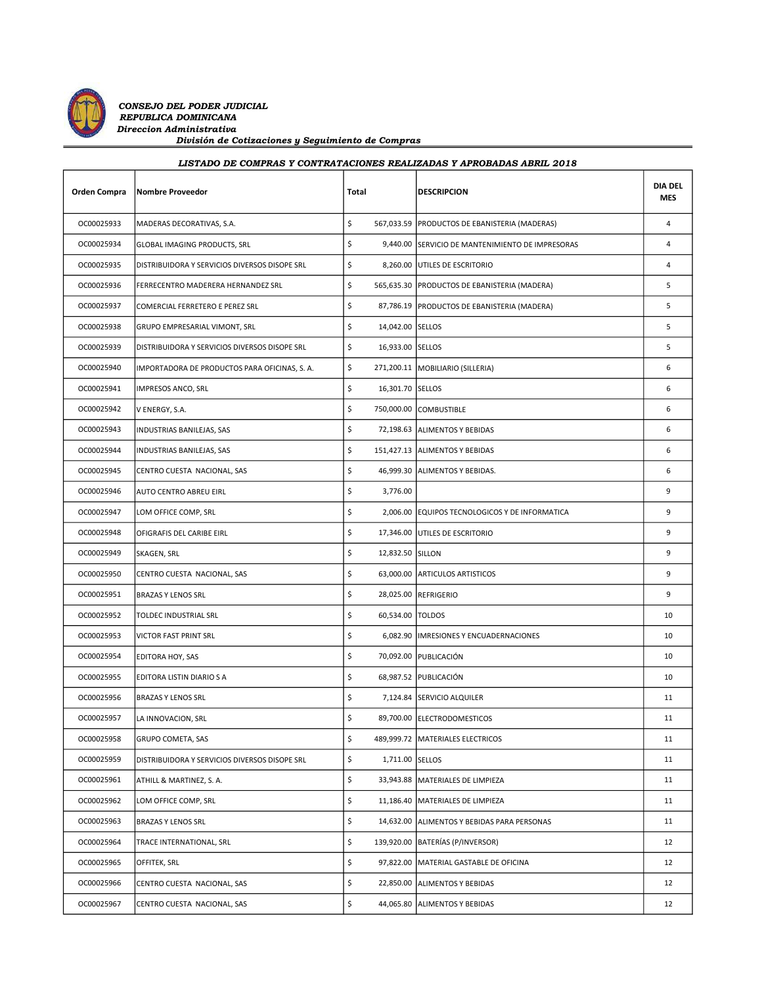

| LISTADO DE COMPRAS Y CONTRATACIONES REALIZADAS Y APROBADAS ABRIL 2018 |  |  |
|-----------------------------------------------------------------------|--|--|
|                                                                       |  |  |

| <b>Orden Compra</b> | <b>Nombre Proveedor</b>                       | Total                    | <b>DESCRIPCION</b>                               | <b>DIA DEL</b><br><b>MES</b> |
|---------------------|-----------------------------------------------|--------------------------|--------------------------------------------------|------------------------------|
| OC00025933          | MADERAS DECORATIVAS, S.A.                     | \$                       | 567,033.59 PRODUCTOS DE EBANISTERIA (MADERAS)    | $\overline{4}$               |
| OC00025934          | GLOBAL IMAGING PRODUCTS, SRL                  | \$                       | 9,440.00 SERVICIO DE MANTENIMIENTO DE IMPRESORAS | $\overline{4}$               |
| OC00025935          | DISTRIBUIDORA Y SERVICIOS DIVERSOS DISOPE SRL | \$                       | 8,260.00 UTILES DE ESCRITORIO                    | $\overline{4}$               |
| OC00025936          | FERRECENTRO MADERERA HERNANDEZ SRL            | \$                       | 565,635.30   PRODUCTOS DE EBANISTERIA (MADERA)   | 5                            |
| OC00025937          | COMERCIAL FERRETERO E PEREZ SRL               | \$                       | 87,786.19   PRODUCTOS DE EBANISTERIA (MADERA)    | 5                            |
| OC00025938          | GRUPO EMPRESARIAL VIMONT, SRL                 | \$<br>14,042.00 SELLOS   |                                                  | 5                            |
| OC00025939          | DISTRIBUIDORA Y SERVICIOS DIVERSOS DISOPE SRL | \$<br>16,933.00 SELLOS   |                                                  | 5                            |
| OC00025940          | IMPORTADORA DE PRODUCTOS PARA OFICINAS, S. A. | \$                       | 271,200.11   MOBILIARIO (SILLERIA)               | 6                            |
| OC00025941          | IMPRESOS ANCO, SRL                            | \$<br>16,301.70 SELLOS   |                                                  | 6                            |
| OC00025942          | V ENERGY, S.A.                                | \$                       | 750,000.00 COMBUSTIBLE                           | 6                            |
| OC00025943          | INDUSTRIAS BANILEJAS, SAS                     | \$                       | 72,198.63 ALIMENTOS Y BEBIDAS                    | 6                            |
| OC00025944          | INDUSTRIAS BANILEJAS, SAS                     | \$                       | 151,427.13 ALIMENTOS Y BEBIDAS                   | 6                            |
| OC00025945          | CENTRO CUESTA NACIONAL, SAS                   | \$                       | 46,999.30 ALIMENTOS Y BEBIDAS.                   | 6                            |
| OC00025946          | AUTO CENTRO ABREU EIRL                        | \$<br>3,776.00           |                                                  | 9                            |
| OC00025947          | LOM OFFICE COMP, SRL                          | \$                       | 2,006.00 EQUIPOS TECNOLOGICOS Y DE INFORMATICA   | 9                            |
| OC00025948          | OFIGRAFIS DEL CARIBE EIRL                     | \$                       | 17,346.00 UTILES DE ESCRITORIO                   | 9                            |
| OC00025949          | SKAGEN, SRL                                   | \$<br>12,832.50 SILLON   |                                                  | 9                            |
| OC00025950          | CENTRO CUESTA NACIONAL, SAS                   | \$                       | 63,000.00 ARTICULOS ARTISTICOS                   | 9                            |
| OC00025951          | <b>BRAZAS Y LENOS SRL</b>                     | \$                       | 28,025.00 REFRIGERIO                             | 9                            |
| OC00025952          | TOLDEC INDUSTRIAL SRL                         | \$<br>60,534.00   TOLDOS |                                                  | 10                           |
| OC00025953          | VICTOR FAST PRINT SRL                         | \$                       | 6,082.90  IMRESIONES Y ENCUADERNACIONES          | 10                           |
| OC00025954          | EDITORA HOY, SAS                              | \$                       | 70,092.00 PUBLICACIÓN                            | 10                           |
| OC00025955          | EDITORA LISTIN DIARIO S A                     | \$                       | 68,987.52 PUBLICACIÓN                            | 10                           |
| OC00025956          | <b>BRAZAS Y LENOS SRL</b>                     | \$                       | 7,124.84 SERVICIO ALQUILER                       | 11                           |
| OC00025957          | LA INNOVACION, SRL                            | \$                       | 89,700.00 ELECTRODOMESTICOS                      | 11                           |
| OC00025958          | GRUPO COMETA, SAS                             | \$                       | 489,999.72   MATERIALES ELECTRICOS               | 11                           |
| OC00025959          | DISTRIBUIDORA Y SERVICIOS DIVERSOS DISOPE SRL | \$<br>1,711.00 SELLOS    |                                                  | 11                           |
| OC00025961          | ATHILL & MARTINEZ, S. A.                      | \$                       | 33,943.88   MATERIALES DE LIMPIEZA               | 11                           |
| OC00025962          | LOM OFFICE COMP, SRL                          | \$                       | 11,186.40 MATERIALES DE LIMPIEZA                 | 11                           |
| OC00025963          | BRAZAS Y LENOS SRL                            | \$                       | 14,632.00 ALIMENTOS Y BEBIDAS PARA PERSONAS      | 11                           |
| OC00025964          | TRACE INTERNATIONAL, SRL                      | \$                       | 139,920.00   BATERÍAS (P/INVERSOR)               | 12                           |
| OC00025965          | OFFITEK, SRL                                  | \$                       | 97,822.00   MATERIAL GASTABLE DE OFICINA         | 12                           |
| OC00025966          | CENTRO CUESTA NACIONAL, SAS                   | \$                       | 22,850.00 ALIMENTOS Y BEBIDAS                    | 12                           |
| OC00025967          | CENTRO CUESTA NACIONAL, SAS                   | \$                       | 44,065.80 ALIMENTOS Y BEBIDAS                    | 12                           |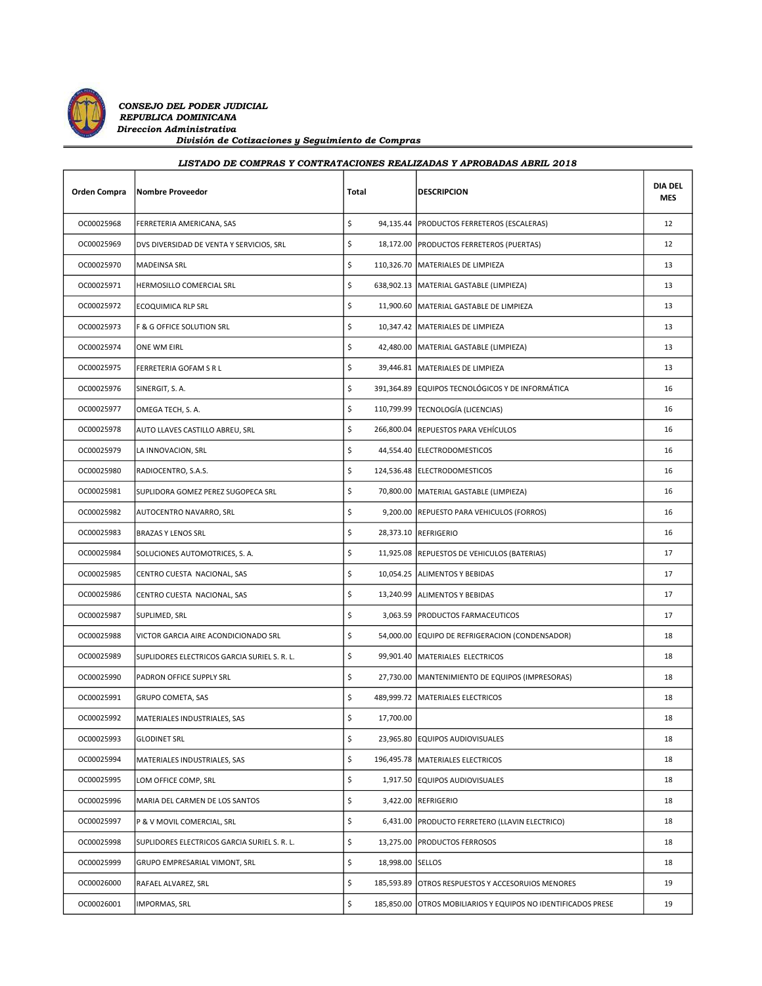

| <b>Orden Compra</b> | <b>Nombre Proveedor</b>                      | Total                  | <b>DESCRIPCION</b>                                            | <b>DIA DEL</b><br><b>MES</b> |
|---------------------|----------------------------------------------|------------------------|---------------------------------------------------------------|------------------------------|
| OC00025968          | FERRETERIA AMERICANA, SAS                    | \$                     | 94,135.44   PRODUCTOS FERRETEROS (ESCALERAS)                  | 12                           |
| OC00025969          | DVS DIVERSIDAD DE VENTA Y SERVICIOS, SRL     | \$                     | 18,172.00 PRODUCTOS FERRETEROS (PUERTAS)                      | 12                           |
| OC00025970          | <b>MADEINSA SRL</b>                          | \$                     | 110,326.70   MATERIALES DE LIMPIEZA                           | 13                           |
| OC00025971          | HERMOSILLO COMERCIAL SRL                     | \$                     | 638,902.13   MATERIAL GASTABLE (LIMPIEZA)                     | 13                           |
| OC00025972          | ECOQUIMICA RLP SRL                           | \$                     | 11,900.60 MATERIAL GASTABLE DE LIMPIEZA                       | 13                           |
| OC00025973          | F & G OFFICE SOLUTION SRL                    | \$                     | 10,347.42   MATERIALES DE LIMPIEZA                            | 13                           |
| OC00025974          | ONE WM EIRL                                  | \$                     | 42,480.00   MATERIAL GASTABLE (LIMPIEZA)                      | 13                           |
| OC00025975          | FERRETERIA GOFAM S R L                       | \$                     | 39,446.81   MATERIALES DE LIMPIEZA                            | 13                           |
| OC00025976          | SINERGIT, S.A.                               | \$                     | 391,364.89 EQUIPOS TECNOLÓGICOS Y DE INFORMÁTICA              | 16                           |
| OC00025977          | OMEGA TECH, S. A.                            | \$                     | 110,799.99   TECNOLOGÍA (LICENCIAS)                           | 16                           |
| OC00025978          | AUTO LLAVES CASTILLO ABREU, SRL              | \$                     | 266,800.04 REPUESTOS PARA VEHÍCULOS                           | 16                           |
| OC00025979          | LA INNOVACION, SRL                           | \$                     | 44,554.40 ELECTRODOMESTICOS                                   | 16                           |
| OC00025980          | RADIOCENTRO, S.A.S.                          | \$                     | 124,536.48 ELECTRODOMESTICOS                                  | 16                           |
| OC00025981          | SUPLIDORA GOMEZ PEREZ SUGOPECA SRL           | \$                     | 70,800.00   MATERIAL GASTABLE (LIMPIEZA)                      | 16                           |
| OC00025982          | AUTOCENTRO NAVARRO, SRL                      | \$                     | 9,200.00   REPUESTO PARA VEHICULOS (FORROS)                   | 16                           |
| OC00025983          | <b>BRAZAS Y LENOS SRL</b>                    | \$                     | 28,373.10 REFRIGERIO                                          | 16                           |
| OC00025984          | SOLUCIONES AUTOMOTRICES, S. A.               | \$                     | 11,925.08 REPUESTOS DE VEHICULOS (BATERIAS)                   | 17                           |
| OC00025985          | CENTRO CUESTA NACIONAL, SAS                  | \$                     | 10,054.25 ALIMENTOS Y BEBIDAS                                 | 17                           |
| OC00025986          | CENTRO CUESTA NACIONAL, SAS                  | \$                     | 13,240.99 ALIMENTOS Y BEBIDAS                                 | 17                           |
| OC00025987          | SUPLIMED, SRL                                | \$                     | 3,063.59   PRODUCTOS FARMACEUTICOS                            | 17                           |
| OC00025988          | VICTOR GARCIA AIRE ACONDICIONADO SRL         | \$                     | 54,000.00 EQUIPO DE REFRIGERACION (CONDENSADOR)               | 18                           |
| OC00025989          | SUPLIDORES ELECTRICOS GARCIA SURIEL S. R. L. | \$                     | 99,901.40   MATERIALES ELECTRICOS                             | 18                           |
| OC00025990          | PADRON OFFICE SUPPLY SRL                     | \$                     | 27,730.00   MANTENIMIENTO DE EQUIPOS (IMPRESORAS)             | 18                           |
| OC00025991          | GRUPO COMETA, SAS                            | \$                     | 489,999.72 MATERIALES ELECTRICOS                              | 18                           |
| OC00025992          | MATERIALES INDUSTRIALES, SAS                 | \$<br>17,700.00        |                                                               | 18                           |
| OC00025993          | <b>GLODINET SRL</b>                          | \$                     | 23,965.80 EQUIPOS AUDIOVISUALES                               | 18                           |
| OC00025994          | MATERIALES INDUSTRIALES, SAS                 | \$                     | 196,495.78   MATERIALES ELECTRICOS                            | 18                           |
| OC00025995          | LOM OFFICE COMP, SRL                         | \$                     | 1,917.50 EQUIPOS AUDIOVISUALES                                | 18                           |
| OC00025996          | MARIA DEL CARMEN DE LOS SANTOS               | \$                     | 3,422.00 REFRIGERIO                                           | 18                           |
| OC00025997          | P & V MOVIL COMERCIAL, SRL                   | \$                     | 6,431.00   PRODUCTO FERRETERO (LLAVIN ELECTRICO)              | 18                           |
| OC00025998          | SUPLIDORES ELECTRICOS GARCIA SURIEL S. R. L. | \$                     | 13,275.00 PRODUCTOS FERROSOS                                  | 18                           |
| OC00025999          | GRUPO EMPRESARIAL VIMONT, SRL                | \$<br>18,998.00 SELLOS |                                                               | 18                           |
| OC00026000          | RAFAEL ALVAREZ, SRL                          | \$                     | 185,593.89 OTROS RESPUESTOS Y ACCESORUIOS MENORES             | 19                           |
| OC00026001          | IMPORMAS, SRL                                | \$                     | 185,850.00 OTROS MOBILIARIOS Y EQUIPOS NO IDENTIFICADOS PRESE | 19                           |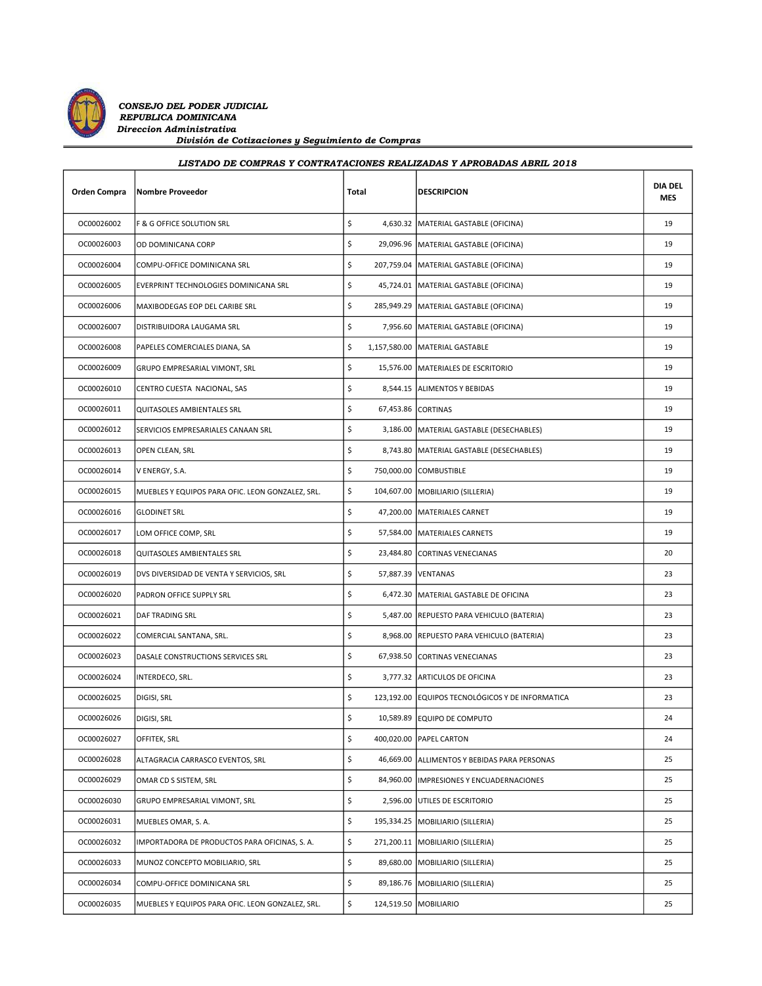

|  |  | LISTADO DE COMPRAS Y CONTRATACIONES REALIZADAS Y APROBADAS ABRIL 2018 |
|--|--|-----------------------------------------------------------------------|
|  |  |                                                                       |

| Orden Compra | <b>Nombre Proveedor</b>                          | Total | <b>DESCRIPCION</b>                               | <b>DIA DEL</b><br>MES |
|--------------|--------------------------------------------------|-------|--------------------------------------------------|-----------------------|
| OC00026002   | F & G OFFICE SOLUTION SRL                        | \$    | 4,630.32   MATERIAL GASTABLE (OFICINA)           | 19                    |
| OC00026003   | OD DOMINICANA CORP                               | \$    | 29,096.96   MATERIAL GASTABLE (OFICINA)          | 19                    |
| OC00026004   | COMPU-OFFICE DOMINICANA SRL                      | \$    | 207,759.04   MATERIAL GASTABLE (OFICINA)         | 19                    |
| OC00026005   | EVERPRINT TECHNOLOGIES DOMINICANA SRL            | \$    | 45,724.01   MATERIAL GASTABLE (OFICINA)          | 19                    |
| OC00026006   | MAXIBODEGAS EOP DEL CARIBE SRL                   | \$    | 285,949.29   MATERIAL GASTABLE (OFICINA)         | 19                    |
| OC00026007   | DISTRIBUIDORA LAUGAMA SRL                        | \$    | 7,956.60   MATERIAL GASTABLE (OFICINA)           | 19                    |
| OC00026008   | PAPELES COMERCIALES DIANA, SA                    | \$    | 1,157,580.00   MATERIAL GASTABLE                 | 19                    |
| OC00026009   | GRUPO EMPRESARIAL VIMONT, SRL                    | \$    | 15,576.00   MATERIALES DE ESCRITORIO             | 19                    |
| OC00026010   | CENTRO CUESTA NACIONAL, SAS                      | \$    | 8,544.15 ALIMENTOS Y BEBIDAS                     | 19                    |
| OC00026011   | QUITASOLES AMBIENTALES SRL                       | \$    | 67,453.86 CORTINAS                               | 19                    |
| OC00026012   | SERVICIOS EMPRESARIALES CANAAN SRL               | \$    | 3,186.00   MATERIAL GASTABLE (DESECHABLES)       | 19                    |
| OC00026013   | OPEN CLEAN, SRL                                  | \$    | 8,743.80   MATERIAL GASTABLE (DESECHABLES)       | 19                    |
| OC00026014   | V ENERGY, S.A.                                   | \$    | 750,000.00 COMBUSTIBLE                           | 19                    |
| OC00026015   | MUEBLES Y EQUIPOS PARA OFIC. LEON GONZALEZ, SRL. | \$    | 104,607.00   MOBILIARIO (SILLERIA)               | 19                    |
| OC00026016   | <b>GLODINET SRL</b>                              | \$    | 47,200.00   MATERIALES CARNET                    | 19                    |
| OC00026017   | LOM OFFICE COMP, SRL                             | \$    | 57,584.00   MATERIALES CARNETS                   | 19                    |
| OC00026018   | QUITASOLES AMBIENTALES SRL                       | \$    | 23,484.80 CORTINAS VENECIANAS                    | 20                    |
| OC00026019   | DVS DIVERSIDAD DE VENTA Y SERVICIOS, SRL         | \$    | 57,887.39   VENTANAS                             | 23                    |
| OC00026020   | PADRON OFFICE SUPPLY SRL                         | \$    | 6,472.30 MATERIAL GASTABLE DE OFICINA            | 23                    |
| OC00026021   | DAF TRADING SRL                                  | \$    | 5,487.00 REPUESTO PARA VEHICULO (BATERIA)        | 23                    |
| OC00026022   | COMERCIAL SANTANA, SRL.                          | \$    | 8,968.00   REPUESTO PARA VEHICULO (BATERIA)      | 23                    |
| OC00026023   | DASALE CONSTRUCTIONS SERVICES SRL                | \$    | 67,938.50 CORTINAS VENECIANAS                    | 23                    |
| OC00026024   | INTERDECO, SRL.                                  | \$    | 3,777.32 ARTICULOS DE OFICINA                    | 23                    |
| OC00026025   | DIGISI, SRL                                      | \$    | 123,192.00 EQUIPOS TECNOLÓGICOS Y DE INFORMATICA | 23                    |
| OC00026026   | DIGISI, SRL                                      | \$    | 10,589.89 EQUIPO DE COMPUTO                      | 24                    |
| OC00026027   | OFFITEK, SRL                                     | \$    | 400,020.00   PAPEL CARTON                        | 24                    |
| OC00026028   | ALTAGRACIA CARRASCO EVENTOS, SRL                 | \$    | 46,669.00 ALLIMENTOS Y BEBIDAS PARA PERSONAS     | 25                    |
| OC00026029   | OMAR CD S SISTEM, SRL                            | \$    | 84,960.00   IMPRESIONES Y ENCUADERNACIONES       | 25                    |
| OC00026030   | GRUPO EMPRESARIAL VIMONT, SRL                    | \$    | 2,596.00 UTILES DE ESCRITORIO                    | 25                    |
| OC00026031   | MUEBLES OMAR, S. A.                              | \$    | 195,334.25   MOBILIARIO (SILLERIA)               | 25                    |
| OC00026032   | IMPORTADORA DE PRODUCTOS PARA OFICINAS, S. A.    | \$    | 271,200.11   MOBILIARIO (SILLERIA)               | 25                    |
| OC00026033   | MUNOZ CONCEPTO MOBILIARIO, SRL                   | \$    | 89,680.00   MOBILIARIO (SILLERIA)                | 25                    |
| OC00026034   | COMPU-OFFICE DOMINICANA SRL                      | \$    | 89,186.76   MOBILIARIO (SILLERIA)                | 25                    |
| OC00026035   | MUEBLES Y EQUIPOS PARA OFIC. LEON GONZALEZ, SRL. | \$    | 124,519.50   MOBILIARIO                          | 25                    |